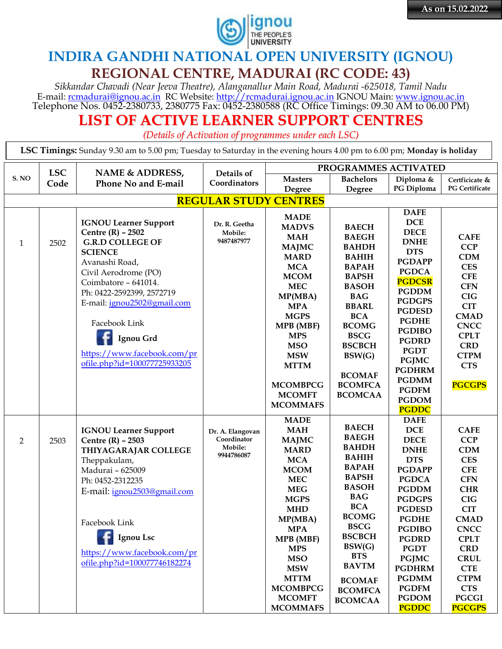

## **INDIRA GANDHI NATIONAL OPEN UNIVERSITY (IGNOU) REGIONAL CENTRE, MADURAI (RC CODE: 43)**

*Sikkandar Chavadi (Near Jeeva Theatre), Alanganallur Main Road, Madurai -625018, Tamil Nadu* E-mail: <u>rcmadurai@ignou.ac.in</u> RC Website: <u>http://rcmadurai.ignou.ac.in</u> IGNOU Main: [www.ignou.ac.in](http://www.ignou.ac.in/) Telephone Nos. 0452-2380733, 2380775 Fax: 0452-2380588 (RC Office Timings: 09.30 AM to 06.00 PM)

## **LIST OF ACTIVE LEARNER SUPPORT CENTRES**

*(Details of Activation of programmes under each LSC)*

**LSC Timings:** Sunday 9.30 am to 5.00 pm; Tuesday to Saturday in the evening hours 4.00 pm to 6.00 pm; **Monday is holiday**

|                | PROGRAMMES ACTIVATED<br><b>LSC</b><br>NAME & ADDRESS,<br>Details of |                              |                                 |                           |                              |                             |                          |  |  |
|----------------|---------------------------------------------------------------------|------------------------------|---------------------------------|---------------------------|------------------------------|-----------------------------|--------------------------|--|--|
| S.NO           | Code                                                                | Phone No and E-mail          | Coordinators                    | <b>Masters</b>            | <b>Bachelors</b>             | Diploma &                   | Certficicate &           |  |  |
|                |                                                                     |                              |                                 | Degree                    | Degree                       | PG Diploma                  | <b>PG Certificate</b>    |  |  |
|                | <b>REGULAR STUDY CENTRES</b>                                        |                              |                                 |                           |                              |                             |                          |  |  |
|                |                                                                     |                              |                                 |                           |                              | <b>DAFE</b>                 |                          |  |  |
|                |                                                                     | <b>IGNOU Learner Support</b> | Dr. R. Geetha                   | <b>MADE</b>               |                              | <b>DCE</b>                  |                          |  |  |
|                |                                                                     | Centre $(R)$ – 2502          | Mobile:                         | <b>MADVS</b>              | <b>BAECH</b>                 | <b>DECE</b>                 |                          |  |  |
| $\mathbf{1}$   | 2502                                                                | <b>G.R.D COLLEGE OF</b>      | 9487487977                      | <b>MAH</b>                | <b>BAEGH</b>                 | <b>DNHE</b>                 | <b>CAFE</b>              |  |  |
|                |                                                                     | <b>SCIENCE</b>               |                                 | <b>MAJMC</b>              | <b>BAHDH</b>                 | <b>DTS</b>                  | <b>CCP</b>               |  |  |
|                |                                                                     | Avanashi Road,               |                                 | <b>MARD</b><br><b>MCA</b> | <b>BAHIH</b>                 | <b>PGDAPP</b>               | <b>CDM</b>               |  |  |
|                |                                                                     | Civil Aerodrome (PO)         |                                 | <b>MCOM</b>               | <b>BAPAH</b><br><b>BAPSH</b> | <b>PGDCA</b>                | <b>CES</b><br><b>CFE</b> |  |  |
|                |                                                                     | Coimbatore - 641014.         |                                 | <b>MEC</b>                | <b>BASOH</b>                 | <b>PGDCSR</b>               | <b>CFN</b>               |  |  |
|                |                                                                     | Ph: 0422-2592399, 2572719    |                                 |                           | <b>BAG</b>                   | <b>PGDDM</b>                | <b>CIG</b>               |  |  |
|                |                                                                     | E-mail: ignou2502@gmail.com  |                                 | MP(MBA)<br><b>MPA</b>     | <b>BBARL</b>                 | <b>PGDGPS</b>               | <b>CIT</b>               |  |  |
|                |                                                                     |                              |                                 | <b>MGPS</b>               | <b>BCA</b>                   | <b>PGDESD</b>               | <b>CMAD</b>              |  |  |
|                |                                                                     | Facebook Link                |                                 | <b>MPB</b> (MBF)          | <b>BCOMG</b>                 | <b>PGDHE</b>                | <b>CNCC</b>              |  |  |
|                |                                                                     |                              |                                 | <b>MPS</b>                | <b>BSCG</b>                  | <b>PGDIBO</b>               | <b>CPLT</b>              |  |  |
|                |                                                                     | Ignou Grd                    |                                 | <b>MSO</b>                | <b>BSCBCH</b>                | <b>PGDRD</b>                | <b>CRD</b>               |  |  |
|                |                                                                     | https://www.facebook.com/pr  |                                 | <b>MSW</b>                | BSW(G)                       | <b>PGDT</b>                 | <b>CTPM</b>              |  |  |
|                |                                                                     | ofile.php?id=100077725933205 |                                 | <b>MTTM</b>               |                              | <b>PGJMC</b>                | <b>CTS</b>               |  |  |
|                |                                                                     |                              |                                 |                           | <b>BCOMAF</b>                | <b>PGDHRM</b>               |                          |  |  |
|                |                                                                     |                              |                                 | <b>MCOMBPCG</b>           | <b>BCOMFCA</b>               | <b>PGDMM</b>                | <b>PGCGPS</b>            |  |  |
|                |                                                                     |                              |                                 | <b>MCOMFT</b>             | <b>BCOMCAA</b>               | <b>PGDFM</b>                |                          |  |  |
|                |                                                                     |                              |                                 | <b>MCOMMAFS</b>           |                              | <b>PGDOM</b>                |                          |  |  |
|                |                                                                     |                              |                                 | <b>MADE</b>               |                              | <b>PGDDC</b><br><b>DAFE</b> |                          |  |  |
|                |                                                                     | <b>IGNOU Learner Support</b> |                                 | <b>MAH</b>                | <b>BAECH</b>                 | <b>DCE</b>                  | <b>CAFE</b>              |  |  |
| $\overline{2}$ | 2503                                                                | Centre $(R)$ - 2503          | Dr. A. Elangovan<br>Coordinator | <b>MAJMC</b>              | <b>BAEGH</b>                 | <b>DECE</b>                 | <b>CCP</b>               |  |  |
|                |                                                                     | THIYAGARAJAR COLLEGE         | Mobile:                         | <b>MARD</b>               | <b>BAHDH</b>                 | <b>DNHE</b>                 | <b>CDM</b>               |  |  |
|                |                                                                     | Theppakulam,                 | 9944786087                      | <b>MCA</b>                | <b>BAHIH</b>                 | <b>DTS</b>                  | <b>CES</b>               |  |  |
|                |                                                                     | Madurai - 625009             |                                 | <b>MCOM</b>               | <b>BAPAH</b>                 | <b>PGDAPP</b>               | <b>CFE</b>               |  |  |
|                |                                                                     | Ph: 0452-2312235             |                                 | <b>MEC</b>                | <b>BAPSH</b>                 | <b>PGDCA</b>                | <b>CFN</b>               |  |  |
|                |                                                                     | E-mail: ignou2503@gmail.com  |                                 | <b>MEG</b>                | <b>BASOH</b>                 | <b>PGDDM</b>                | <b>CHR</b>               |  |  |
|                |                                                                     |                              |                                 | <b>MGPS</b>               | <b>BAG</b>                   | <b>PGDGPS</b>               | CIG                      |  |  |
|                |                                                                     |                              |                                 | <b>MHD</b>                | <b>BCA</b>                   | <b>PGDESD</b>               | <b>CIT</b>               |  |  |
|                |                                                                     | Facebook Link                |                                 | MP(MBA)                   | <b>BCOMG</b>                 | <b>PGDHE</b>                | <b>CMAD</b>              |  |  |
|                |                                                                     |                              |                                 | <b>MPA</b>                | <b>BSCG</b>                  | <b>PGDIBO</b>               | <b>CNCC</b>              |  |  |
|                |                                                                     | Ignou Lsc                    |                                 | MPB (MBF)                 | <b>BSCBCH</b>                | <b>PGDRD</b>                | <b>CPLT</b>              |  |  |
|                |                                                                     | https://www.facebook.com/pr  |                                 | <b>MPS</b>                | BSW(G)                       | <b>PGDT</b>                 | <b>CRD</b>               |  |  |
|                |                                                                     | ofile.php?id=100077746182274 |                                 | <b>MSO</b>                | <b>BTS</b>                   | <b>PGJMC</b>                | <b>CRUL</b>              |  |  |
|                |                                                                     |                              |                                 | <b>MSW</b>                | <b>BAVTM</b>                 | <b>PGDHRM</b>               | <b>CTE</b>               |  |  |
|                |                                                                     |                              |                                 | <b>MTTM</b>               | <b>BCOMAF</b>                | <b>PGDMM</b>                | <b>CTPM</b>              |  |  |
|                |                                                                     |                              |                                 | <b>MCOMBPCG</b>           | <b>BCOMFCA</b>               | <b>PGDFM</b>                | <b>CTS</b>               |  |  |
|                |                                                                     |                              |                                 | <b>MCOMFT</b>             | <b>BCOMCAA</b>               | <b>PGDOM</b>                | <b>PGCGI</b>             |  |  |
|                |                                                                     |                              |                                 | <b>MCOMMAFS</b>           |                              | <b>PGDDC</b>                | <b>PGCGPS</b>            |  |  |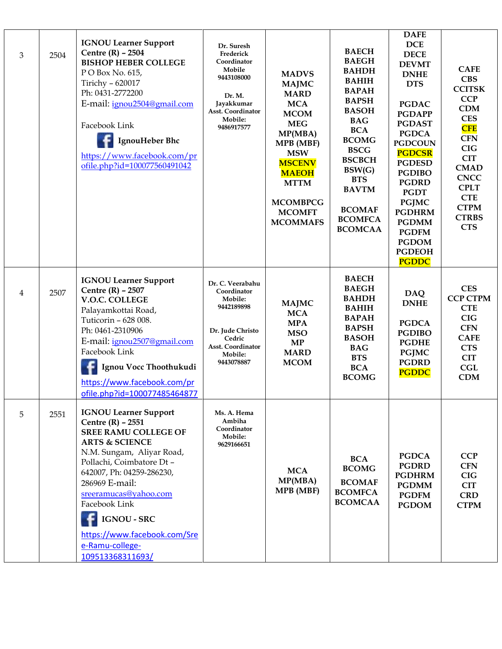| $\mathfrak{B}$ | 2504 | <b>IGNOU Learner Support</b><br>Centre $(R)$ - 2504<br><b>BISHOP HEBER COLLEGE</b><br>P O Box No. 615,<br>Tirichy - 620017<br>Ph: 0431-2772200<br>E-mail: ignou2504@gmail.com<br>Facebook Link<br>IgnouHeber Bhc<br>https://www.facebook.com/pr<br>ofile.php?id=100077560491042                                                                                | Dr. Suresh<br>Frederick<br>Coordinator<br>Mobile<br>9443108000<br>Dr. M.<br>Jayakkumar<br>Asst. Coordinator<br>Mobile:<br>9486917577        | <b>MADVS</b><br><b>MAJMC</b><br><b>MARD</b><br><b>MCA</b><br><b>MCOM</b><br><b>MEG</b><br>MP(MBA)<br>MPB (MBF)<br><b>MSW</b><br><b>MSCENV</b><br><b>MAEOH</b><br><b>MTTM</b><br><b>MCOMBPCG</b><br><b>MCOMFT</b><br><b>MCOMMAFS</b> | <b>BAECH</b><br><b>BAEGH</b><br><b>BAHDH</b><br><b>BAHIH</b><br><b>BAPAH</b><br><b>BAPSH</b><br><b>BASOH</b><br><b>BAG</b><br><b>BCA</b><br><b>BCOMG</b><br><b>BSCG</b><br><b>BSCBCH</b><br>BSW(G)<br><b>BTS</b><br><b>BAVTM</b><br><b>BCOMAF</b><br><b>BCOMFCA</b><br><b>BCOMCAA</b> | <b>DAFE</b><br><b>DCE</b><br><b>DECE</b><br><b>DEVMT</b><br><b>DNHE</b><br><b>DTS</b><br><b>PGDAC</b><br><b>PGDAPP</b><br><b>PGDAST</b><br><b>PGDCA</b><br><b>PGDCOUN</b><br><b>PGDCSR</b><br><b>PGDESD</b><br><b>PGDIBO</b><br><b>PGDRD</b><br><b>PGDT</b><br><b>PGJMC</b><br><b>PGDHRM</b><br><b>PGDMM</b><br><b>PGDFM</b><br><b>PGDOM</b><br><b>PGDEOH</b><br><b>PGDDC</b> | <b>CAFE</b><br><b>CBS</b><br><b>CCITSK</b><br><b>CCP</b><br><b>CDM</b><br><b>CES</b><br><b>CFE</b><br><b>CFN</b><br><b>CIG</b><br><b>CIT</b><br><b>CMAD</b><br><b>CNCC</b><br><b>CPLT</b><br><b>CTE</b><br><b>CTPM</b><br><b>CTRBS</b><br><b>CTS</b> |
|----------------|------|----------------------------------------------------------------------------------------------------------------------------------------------------------------------------------------------------------------------------------------------------------------------------------------------------------------------------------------------------------------|---------------------------------------------------------------------------------------------------------------------------------------------|-------------------------------------------------------------------------------------------------------------------------------------------------------------------------------------------------------------------------------------|---------------------------------------------------------------------------------------------------------------------------------------------------------------------------------------------------------------------------------------------------------------------------------------|-------------------------------------------------------------------------------------------------------------------------------------------------------------------------------------------------------------------------------------------------------------------------------------------------------------------------------------------------------------------------------|------------------------------------------------------------------------------------------------------------------------------------------------------------------------------------------------------------------------------------------------------|
| 4              | 2507 | <b>IGNOU Learner Support</b><br>Centre (R) - 2507<br>V.O.C. COLLEGE<br>Palayamkottai Road,<br>Tuticorin - 628 008.<br>Ph: 0461-2310906<br>E-mail: ignou2507@gmail.com<br>Facebook Link<br>Ignou Vocc Thoothukudi<br>https://www.facebook.com/pr<br>ofile.php?id=100077485464877                                                                                | Dr. C. Veerabahu<br>Coordinator<br>Mobile:<br>9442189898<br>Dr. Jude Christo<br>Cedric<br><b>Asst. Coordinator</b><br>Mobile:<br>9443078887 | <b>MAJMC</b><br><b>MCA</b><br><b>MPA</b><br><b>MSO</b><br>MP<br><b>MARD</b><br><b>MCOM</b>                                                                                                                                          | <b>BAECH</b><br><b>BAEGH</b><br><b>BAHDH</b><br><b>BAHIH</b><br><b>BAPAH</b><br><b>BAPSH</b><br><b>BASOH</b><br><b>BAG</b><br><b>BTS</b><br><b>BCA</b><br><b>BCOMG</b>                                                                                                                | <b>DAQ</b><br><b>DNHE</b><br><b>PGDCA</b><br><b>PGDIBO</b><br><b>PGDHE</b><br><b>PGJMC</b><br><b>PGDRD</b><br><b>PGDDC</b>                                                                                                                                                                                                                                                    | <b>CES</b><br><b>CCP CTPM</b><br><b>CTE</b><br><b>CIG</b><br><b>CFN</b><br><b>CAFE</b><br><b>CTS</b><br><b>CIT</b><br>CGL<br><b>CDM</b>                                                                                                              |
| 5              | 2551 | <b>IGNOU Learner Support</b><br>Centre $(R)$ - 2551<br><b>SREE RAMU COLLEGE OF</b><br><b>ARTS &amp; SCIENCE</b><br>N.M. Sungam, Aliyar Road,<br>Pollachi, Coimbatore Dt-<br>642007, Ph: 04259-286230,<br>286969 E-mail:<br>sreeramucas@yahoo.com<br>Facebook Link<br><b>IGNOU - SRC</b><br>https://www.facebook.com/Sre<br>e-Ramu-college-<br>109513368311693/ | Ms. A. Hema<br>Ambiha<br>Coordinator<br>Mobile:<br>9629166651                                                                               | <b>MCA</b><br>MP(MBA)<br>MPB (MBF)                                                                                                                                                                                                  | <b>BCA</b><br><b>BCOMG</b><br><b>BCOMAF</b><br><b>BCOMFCA</b><br><b>BCOMCAA</b>                                                                                                                                                                                                       | <b>PGDCA</b><br><b>PGDRD</b><br><b>PGDHRM</b><br><b>PGDMM</b><br><b>PGDFM</b><br><b>PGDOM</b>                                                                                                                                                                                                                                                                                 | <b>CCP</b><br><b>CFN</b><br><b>CIG</b><br><b>CIT</b><br><b>CRD</b><br><b>CTPM</b>                                                                                                                                                                    |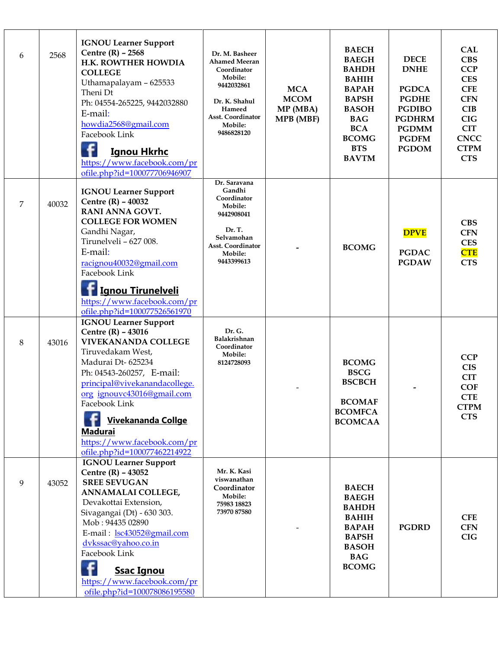| 6 | 2568  | <b>IGNOU Learner Support</b><br>Centre $(R)$ - 2568<br>H.K. ROWTHER HOWDIA<br><b>COLLEGE</b><br>Uthamapalayam - 625533<br>Theni Dt<br>Ph: 04554-265225, 9442032880<br>E-mail:<br>howdia2568@gmail.com<br>Facebook Link<br><b>Ignou Hkrhc</b><br>https://www.facebook.com/pr<br>ofile.php?id=100077706946907                                    | Dr. M. Basheer<br><b>Ahamed Meeran</b><br>Coordinator<br>Mobile:<br>9442032861<br>Dr. K. Shahul<br>Hameed<br><b>Asst. Coordinator</b><br>Mobile:<br>9486828120 | <b>MCA</b><br><b>MCOM</b><br>MP (MBA)<br><b>MPB</b> (MBF) | <b>BAECH</b><br><b>BAEGH</b><br><b>BAHDH</b><br><b>BAHIH</b><br><b>BAPAH</b><br><b>BAPSH</b><br><b>BASOH</b><br><b>BAG</b><br><b>BCA</b><br><b>BCOMG</b><br><b>BTS</b><br><b>BAVTM</b> | <b>DECE</b><br><b>DNHE</b><br><b>PGDCA</b><br><b>PGDHE</b><br><b>PGDIBO</b><br><b>PGDHRM</b><br><b>PGDMM</b><br><b>PGDFM</b><br><b>PGDOM</b> | <b>CAL</b><br><b>CBS</b><br><b>CCP</b><br><b>CES</b><br><b>CFE</b><br><b>CFN</b><br><b>CIB</b><br><b>CIG</b><br><b>CIT</b><br><b>CNCC</b><br><b>CTPM</b><br><b>CTS</b> |
|---|-------|------------------------------------------------------------------------------------------------------------------------------------------------------------------------------------------------------------------------------------------------------------------------------------------------------------------------------------------------|----------------------------------------------------------------------------------------------------------------------------------------------------------------|-----------------------------------------------------------|----------------------------------------------------------------------------------------------------------------------------------------------------------------------------------------|----------------------------------------------------------------------------------------------------------------------------------------------|------------------------------------------------------------------------------------------------------------------------------------------------------------------------|
| 7 | 40032 | <b>IGNOU Learner Support</b><br>Centre (R) - 40032<br>RANI ANNA GOVT.<br><b>COLLEGE FOR WOMEN</b><br>Gandhi Nagar,<br>Tirunelveli - 627 008.<br>E-mail:<br>racignou40032@gmail.com<br>Facebook Link<br><b>Ignou Tirunelveli</b><br>https://www.facebook.com/pr<br>ofile.php?id=100077526561970                                                 | Dr. Saravana<br>Gandhi<br>Coordinator<br>Mobile:<br>9442908041<br>Dr. T.<br>Selvamohan<br>Asst. Coordinator<br>Mobile:<br>9443399613                           |                                                           | <b>BCOMG</b>                                                                                                                                                                           | <b>DPVE</b><br><b>PGDAC</b><br><b>PGDAW</b>                                                                                                  | <b>CBS</b><br><b>CFN</b><br><b>CES</b><br><b>CTE</b><br><b>CTS</b>                                                                                                     |
| 8 | 43016 | <b>IGNOU Learner Support</b><br>Centre (R) - 43016<br><b>VIVEKANANDA COLLEGE</b><br>Tiruvedakam West,<br>Madurai Dt-625234<br>Ph: 04543-260257, E-mail:<br>principal@vivekanandacollege.<br>org ignouvc43016@gmail.com<br>Facebook Link<br>Vivekananda Collge<br><b>Madurai</b><br>https://www.facebook.com/pr<br>ofile.php?id=100077462214922 | Dr. G.<br>Balakrishnan<br>Coordinator<br>Mobile:<br>8124728093                                                                                                 |                                                           | <b>BCOMG</b><br><b>BSCG</b><br><b>BSCBCH</b><br><b>BCOMAF</b><br><b>BCOMFCA</b><br><b>BCOMCAA</b>                                                                                      |                                                                                                                                              | <b>CCP</b><br><b>CIS</b><br><b>CIT</b><br><b>COF</b><br><b>CTE</b><br><b>CTPM</b><br><b>CTS</b>                                                                        |
| 9 | 43052 | <b>IGNOU Learner Support</b><br>Centre (R) - 43052<br><b>SREE SEVUGAN</b><br>ANNAMALAI COLLEGE,<br>Devakottai Extension,<br>Sivagangai (Dt) - 630 303.<br>Mob: 94435 02890<br>E-mail: lsc43052@gmail.com<br>dvkssac@yahoo.co.in<br>Facebook Link<br><b>Ssac Ignou</b><br>https://www.facebook.com/pr<br>ofile.php?id=100078086195580           | Mr. K. Kasi<br>viswanathan<br>Coordinator<br>Mobile:<br>75983 18823<br>73970 87580                                                                             |                                                           | <b>BAECH</b><br><b>BAEGH</b><br><b>BAHDH</b><br><b>BAHIH</b><br><b>BAPAH</b><br><b>BAPSH</b><br><b>BASOH</b><br><b>BAG</b><br><b>BCOMG</b>                                             | <b>PGDRD</b>                                                                                                                                 | <b>CFE</b><br><b>CFN</b><br><b>CIG</b>                                                                                                                                 |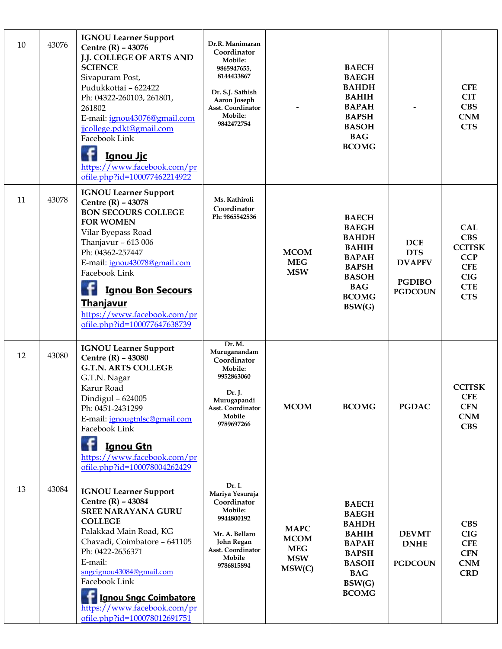| 10 | 43076 | <b>IGNOU Learner Support</b><br>Centre (R) - 43076<br><b>J.J. COLLEGE OF ARTS AND</b><br><b>SCIENCE</b><br>Sivapuram Post,<br>Pudukkottai - 622422<br>Ph: 04322-260103, 261801,<br>261802<br>E-mail: ignou43076@gmail.com<br>jjcollege.pdkt@gmail.com<br>Facebook Link<br><u>Ignou Jjc</u><br>https://www.facebook.com/pr<br>ofile.php?id=100077462214922 | Dr.R. Manimaran<br>Coordinator<br>Mobile:<br>9865947655,<br>8144433867<br>Dr. S.J. Sathish<br>Aaron Joseph<br><b>Asst. Coordinator</b><br>Mobile:<br>9842472754 |                                                                  | <b>BAECH</b><br><b>BAEGH</b><br><b>BAHDH</b><br><b>BAHIH</b><br><b>BAPAH</b><br><b>BAPSH</b><br><b>BASOH</b><br><b>BAG</b><br><b>BCOMG</b>           |                                                                              | <b>CFE</b><br><b>CIT</b><br><b>CBS</b><br><b>CNM</b><br><b>CTS</b>                                              |
|----|-------|-----------------------------------------------------------------------------------------------------------------------------------------------------------------------------------------------------------------------------------------------------------------------------------------------------------------------------------------------------------|-----------------------------------------------------------------------------------------------------------------------------------------------------------------|------------------------------------------------------------------|------------------------------------------------------------------------------------------------------------------------------------------------------|------------------------------------------------------------------------------|-----------------------------------------------------------------------------------------------------------------|
| 11 | 43078 | <b>IGNOU Learner Support</b><br>Centre (R) - 43078<br><b>BON SECOURS COLLEGE</b><br><b>FOR WOMEN</b><br>Vilar Byepass Road<br>Thanjavur - 613 006<br>Ph: 04362-257447<br>E-mail: ignou43078@gmail.com<br>Facebook Link<br><b>Ignou Bon Secours</b><br><b>Thanjavur</b><br>https://www.facebook.com/pr<br>ofile.php?id=100077647638739                     | Ms. Kathiroli<br>Coordinator<br>Ph: 9865542536                                                                                                                  | <b>MCOM</b><br><b>MEG</b><br><b>MSW</b>                          | <b>BAECH</b><br><b>BAEGH</b><br><b>BAHDH</b><br><b>BAHIH</b><br><b>BAPAH</b><br><b>BAPSH</b><br><b>BASOH</b><br><b>BAG</b><br><b>BCOMG</b><br>BSW(G) | <b>DCE</b><br><b>DTS</b><br><b>DVAPFV</b><br><b>PGDIBO</b><br><b>PGDCOUN</b> | <b>CAL</b><br><b>CBS</b><br><b>CCITSK</b><br><b>CCP</b><br><b>CFE</b><br><b>CIG</b><br><b>CTE</b><br><b>CTS</b> |
| 12 | 43080 | <b>IGNOU Learner Support</b><br>Centre (R) - 43080<br><b>G.T.N. ARTS COLLEGE</b><br>G.T.N. Nagar<br>Karur Road<br>Dindigul - 624005<br>Ph: 0451-2431299<br>E-mail: ignougtnlsc@gmail.com<br>Facebook Link<br><b>Ignou Gtn</b><br>https://www.facebook.com/pr<br>ofile.php?id=100078004262429                                                              | Dr. M.<br>Muruganandam<br>Coordinator<br>Mobile:<br>9952863060<br>Dr. J.<br>Murugapandi<br><b>Asst. Coordinator</b><br>Mobile<br>9789697266                     | <b>MCOM</b>                                                      | <b>BCOMG</b>                                                                                                                                         | <b>PGDAC</b>                                                                 | <b>CCITSK</b><br><b>CFE</b><br><b>CFN</b><br><b>CNM</b><br><b>CBS</b>                                           |
| 13 | 43084 | <b>IGNOU Learner Support</b><br>Centre (R) - 43084<br><b>SREE NARAYANA GURU</b><br><b>COLLEGE</b><br>Palakkad Main Road, KG<br>Chavadi, Coimbatore - 641105<br>Ph: 0422-2656371<br>E-mail:<br>sngcignou43084@gmail.com<br>Facebook Link<br><b>Ignou Sngc Coimbatore</b><br>https://www.facebook.com/pr<br>ofile.php?id=100078012691751                    | Dr. I.<br>Mariya Yesuraja<br>Coordinator<br>Mobile:<br>9944800192<br>Mr. A. Bellaro<br>John Regan<br>Asst. Coordinator<br>Mobile<br>9786815894                  | <b>MAPC</b><br><b>MCOM</b><br><b>MEG</b><br><b>MSW</b><br>MSW(C) | <b>BAECH</b><br><b>BAEGH</b><br><b>BAHDH</b><br><b>BAHIH</b><br><b>BAPAH</b><br><b>BAPSH</b><br><b>BASOH</b><br><b>BAG</b><br>BSW(G)<br><b>BCOMG</b> | <b>DEVMT</b><br><b>DNHE</b><br><b>PGDCOUN</b>                                | <b>CBS</b><br>CIG<br><b>CFE</b><br><b>CFN</b><br><b>CNM</b><br><b>CRD</b>                                       |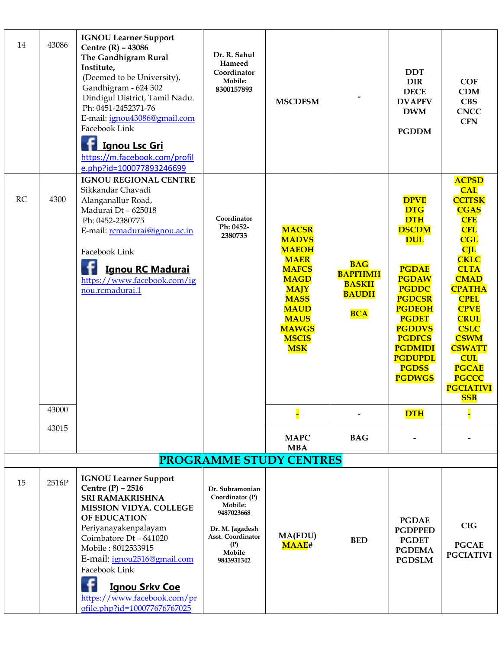| 14        | 43086 | <b>IGNOU Learner Support</b><br>Centre (R) - 43086<br>The Gandhigram Rural<br>Institute,<br>(Deemed to be University),<br>Gandhigram - 624 302<br>Dindigul District, Tamil Nadu.<br>Ph: 0451-2452371-76<br>E-mail: ignou43086@gmail.com<br>Facebook Link<br><b>Ignou Lsc Gri</b><br>https://m.facebook.com/profil<br>e.php?id=100077893246699  | Dr. R. Sahul<br>Hameed<br>Coordinator<br>Mobile:<br>8300157893                                                                     | <b>MSCDFSM</b>                                                                                                                                                                                       |                                                                            | <b>DDT</b><br><b>DIR</b><br><b>DECE</b><br><b>DVAPFV</b><br><b>DWM</b><br><b>PGDDM</b>                                                                                                                                                                                         | <b>COF</b><br><b>CDM</b><br><b>CBS</b><br><b>CNCC</b><br><b>CFN</b>                                                                                                                                                                                                                                                                                  |
|-----------|-------|------------------------------------------------------------------------------------------------------------------------------------------------------------------------------------------------------------------------------------------------------------------------------------------------------------------------------------------------|------------------------------------------------------------------------------------------------------------------------------------|------------------------------------------------------------------------------------------------------------------------------------------------------------------------------------------------------|----------------------------------------------------------------------------|--------------------------------------------------------------------------------------------------------------------------------------------------------------------------------------------------------------------------------------------------------------------------------|------------------------------------------------------------------------------------------------------------------------------------------------------------------------------------------------------------------------------------------------------------------------------------------------------------------------------------------------------|
| <b>RC</b> | 4300  | <b>IGNOU REGIONAL CENTRE</b><br>Sikkandar Chavadi<br>Alanganallur Road,<br>Madurai Dt - 625018<br>Ph: 0452-2380775<br>E-mail: rcmadurai@ignou.ac.in<br>Facebook Link<br><b>Ignou RC Madurai</b><br>https://www.facebook.com/ig<br>nou.rcmadurai.1                                                                                              | Coordinator<br>Ph: 0452-<br>2380733                                                                                                | <b>MACSR</b><br><b>MADVS</b><br><b>MAEOH</b><br><b>MAER</b><br><b>MAFCS</b><br><b>MAGD</b><br><b>MAJY</b><br><b>MASS</b><br><b>MAUD</b><br><b>MAUS</b><br><b>MAWGS</b><br><b>MSCIS</b><br><b>MSK</b> | <b>BAG</b><br><b>BAPFHMH</b><br><b>BASKH</b><br><b>BAUDH</b><br><b>BCA</b> | <b>DPVE</b><br><b>DTG</b><br><b>DTH</b><br><b>DSCDM</b><br><b>DUL</b><br><b>PGDAE</b><br><b>PGDAW</b><br><b>PGDDC</b><br><b>PGDCSR</b><br><b>PGDEOH</b><br><b>PGDET</b><br><b>PGDDVS</b><br><b>PGDFCS</b><br><b>PGDMIDI</b><br><b>PGDUPDL</b><br><b>PGDSS</b><br><b>PGDWGS</b> | <b>ACPSD</b><br><b>CAL</b><br><b>CCITSK</b><br><b>CGAS</b><br><b>CFE</b><br><b>CFL</b><br><b>CGL</b><br>CL<br><b>CKLC</b><br><b>CLTA</b><br><b>CMAD</b><br><b>CPATHA</b><br><b>CPEL</b><br><b>CPVE</b><br><b>CRUL</b><br><b>CSLC</b><br><b>CSWM</b><br><b>CSWATT</b><br><b>CUL</b><br><b>PGCAE</b><br><b>PGCCC</b><br><b>PGCIATIVI</b><br><b>SSB</b> |
|           | 43000 |                                                                                                                                                                                                                                                                                                                                                |                                                                                                                                    |                                                                                                                                                                                                      |                                                                            | <b>DTH</b>                                                                                                                                                                                                                                                                     |                                                                                                                                                                                                                                                                                                                                                      |
|           | 43015 |                                                                                                                                                                                                                                                                                                                                                |                                                                                                                                    | <b>MAPC</b><br><b>MBA</b>                                                                                                                                                                            | <b>BAG</b>                                                                 |                                                                                                                                                                                                                                                                                |                                                                                                                                                                                                                                                                                                                                                      |
|           |       |                                                                                                                                                                                                                                                                                                                                                |                                                                                                                                    | PROGRAMME STUDY CENTRES                                                                                                                                                                              |                                                                            |                                                                                                                                                                                                                                                                                |                                                                                                                                                                                                                                                                                                                                                      |
| 15        | 2516P | <b>IGNOU Learner Support</b><br>Centre $(P)$ - 2516<br><b>SRI RAMAKRISHNA</b><br><b>MISSION VIDYA. COLLEGE</b><br>OF EDUCATION<br>Periyanayakenpalayam<br>Coimbatore Dt - 641020<br>Mobile: 8012533915<br>E-mail: ignou2516@gmail.com<br>Facebook Link<br><b>Ignou Srkv Coe</b><br>https://www.facebook.com/pr<br>ofile.php?id=100077676767025 | Dr. Subramonian<br>Coordinator (P)<br>Mobile:<br>9487023668<br>Dr. M. Jagadesh<br>Asst. Coordinator<br>(P)<br>Mobile<br>9843931342 | <b>MA(EDU)</b><br>MAAE#                                                                                                                                                                              | <b>BED</b>                                                                 | <b>PGDAE</b><br><b>PGDPPED</b><br><b>PGDET</b><br><b>PGDEMA</b><br><b>PGDSLM</b>                                                                                                                                                                                               | <b>CIG</b><br><b>PGCAE</b><br><b>PGCIATIVI</b>                                                                                                                                                                                                                                                                                                       |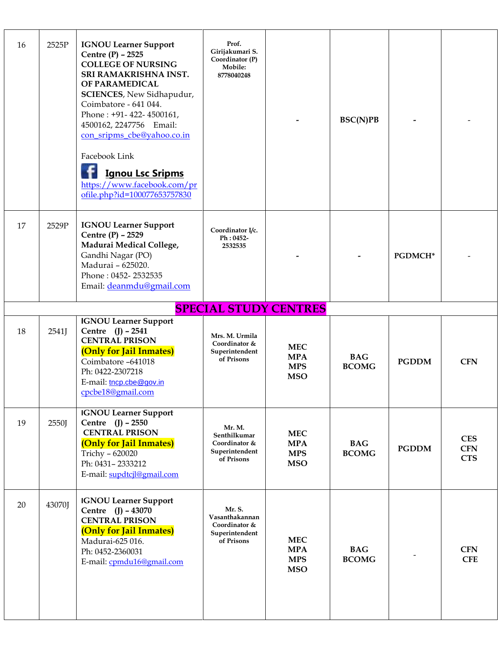| 16 | 2525P                        | <b>IGNOU Learner Support</b><br>Centre (P) - 2525<br><b>COLLEGE OF NURSING</b><br>SRI RAMAKRISHNA INST.<br>OF PARAMEDICAL<br>SCIENCES, New Sidhapudur,<br>Coimbatore - 641 044.<br>Phone: +91-422-4500161,<br>4500162, 2247756 Email:<br>con_sripms_cbe@yahoo.co.in<br>Facebook Link<br><b>Ignou Lsc Sripms</b><br>https://www.facebook.com/pr<br>ofile.php?id=100077653757830 | Prof.<br>Girijakumari S.<br>Coordinator (P)<br>Mobile:<br>8778040248      |                                                      | BSC(N)PB                   |              |                                        |  |
|----|------------------------------|--------------------------------------------------------------------------------------------------------------------------------------------------------------------------------------------------------------------------------------------------------------------------------------------------------------------------------------------------------------------------------|---------------------------------------------------------------------------|------------------------------------------------------|----------------------------|--------------|----------------------------------------|--|
| 17 | 2529P                        | <b>IGNOU Learner Support</b><br>Centre (P) - 2529<br>Madurai Medical College,<br>Gandhi Nagar (PO)<br>Madurai - 625020.<br>Phone: 0452-2532535<br>Email: deanmdu@gmail.com                                                                                                                                                                                                     | Coordinator I/c.<br>Ph: 0452-<br>2532535                                  |                                                      |                            | PGDMCH*      |                                        |  |
|    | <b>SPECIAL STUDY CENTRES</b> |                                                                                                                                                                                                                                                                                                                                                                                |                                                                           |                                                      |                            |              |                                        |  |
| 18 | 2541                         | <b>IGNOU Learner Support</b><br>Centre (J) - 2541<br><b>CENTRAL PRISON</b><br>(Only for Jail Inmates)<br>Coimbatore -641018<br>Ph: 0422-2307218<br>E-mail: tncp.cbe@gov.in<br>cpcbe18@gmail.com                                                                                                                                                                                | Mrs. M. Urmila<br>Coordinator &<br>Superintendent<br>of Prisons           | <b>MEC</b><br><b>MPA</b><br><b>MPS</b><br><b>MSO</b> | <b>BAG</b><br><b>BCOMG</b> | <b>PGDDM</b> | <b>CFN</b>                             |  |
| 19 | 2550J                        | <b>IGNOU Learner Support</b><br>Centre (J) - 2550<br><b>CENTRAL PRISON</b><br>(Only for Jail Inmates)<br>Trichy - 620020<br>Ph: 0431-2333212<br>E-mail: supdtcjl@gmail.com                                                                                                                                                                                                     | Mr. M.<br>Senthilkumar<br>Coordinator &<br>Superintendent<br>of Prisons   | <b>MEC</b><br><b>MPA</b><br><b>MPS</b><br><b>MSO</b> | <b>BAG</b><br><b>BCOMG</b> | <b>PGDDM</b> | <b>CES</b><br><b>CFN</b><br><b>CTS</b> |  |
| 20 | 43070J                       | <b>IGNOU Learner Support</b><br>Centre (J) - 43070<br><b>CENTRAL PRISON</b><br>(Only for Jail Inmates)<br>Madurai-625 016.<br>Ph: 0452-2360031<br>E-mail: cpmdu16@gmail.com                                                                                                                                                                                                    | Mr. S.<br>Vasanthakannan<br>Coordinator &<br>Superintendent<br>of Prisons | <b>MEC</b><br><b>MPA</b><br><b>MPS</b><br><b>MSO</b> | <b>BAG</b><br><b>BCOMG</b> |              | <b>CFN</b><br><b>CFE</b>               |  |